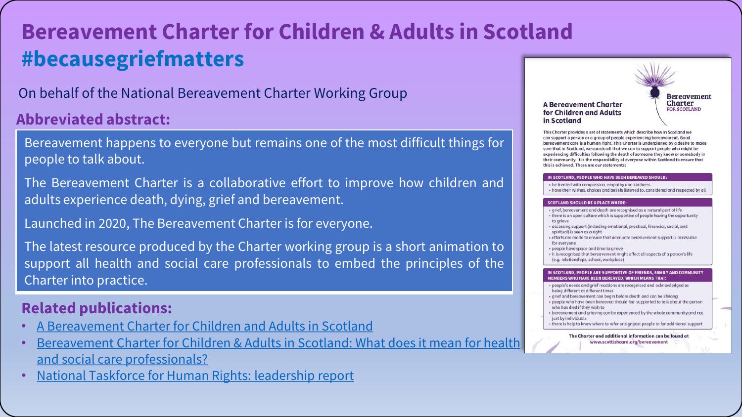## **Bereavement Charter for Children & Adults in Scotland #becausegriefmatters**

On behalf of the National Bereavement Charter Working Group

### **Abbreviated abstract:**

Bereavement happens to everyone but remains one of the most difficult things for people to talk about.

The Bereavement Charter is a collaborative effort to improve how children and adults experience death, dying, grief and bereavement.

Launched in 2020, The Bereavement Charter is for everyone.

The latest resource produced by the Charter working group is a short animation to support all health and social care professionals to embed the principles of the Charter into practice.

### **Related publications:**

- [A Bereavement Charter for Children and Adults in Scotland](https://www.sad.scot.nhs.uk/bereavement-charter/)
- Bereavement Charter for Children & Adults in Scotland: What does it mean for health and social care professionals?
- [National Taskforce for Human Rights: leadership report](https://www.gov.scot/publications/national-taskforce-human-rights-leadership-report/documents/)

**A Bereavement Charter** for Children and Adults in Scotland

**Bereavement** Charter **FOR SCOTLAND** 

This Charter provides a set of statements which describe how in Scotland we can support a person or a group of people experiencing beregvement. Good bereavement care is a human right. This Charter is underpinned by a desire to make sure that in Scotland, we can do all that we can to support people who might be experiencing difficulties following the death of someone they know or somebody in their community. It is the responsibility of everyone within Scotland to ensure that this is achieved. These are our statements:

#### IN SCOTLAND, PEOPLE WHO HAVE BEEN BEREAVED SHOULD

- . be treated with compassion, empathy and kindness
- have their wishes, choices and beliefs listened to, considered and respected by al

#### **SCOTLAND SHOULD BE A PLACE WHER**

| · grief, bereavement and death are recognised as a natural part of life |  |                                                                                                                                                                                                                                                                     |
|-------------------------------------------------------------------------|--|---------------------------------------------------------------------------------------------------------------------------------------------------------------------------------------------------------------------------------------------------------------------|
|                                                                         |  | $\sim$ 0.000 $\sim$ 0.000 $\sim$ 0.000 $\sim$ 0.000 $\sim$ 0.000 $\sim$ 0.000 $\sim$ 0.000 $\sim$ 0.000 $\sim$ 0.000 $\sim$ 0.000 $\sim$ 0.000 $\sim$ 0.000 $\sim$ 0.000 $\sim$ 0.000 $\sim$ 0.000 $\sim$ 0.000 $\sim$ 0.000 $\sim$ 0.000 $\sim$ 0.000 $\sim$ 0.000 |

- n culture which is supportive of people having the opportunity to grieve
- · accessing support (including emotional, practical, financial, social, and spiritual) is seen as a right
- · efforts are made to ensure that adequate bereavement support is accessible for everyone
- · people have space and time to grieve
- · it is recognised that bereavement might affect all aspects of a person's life
	- (e.g. relationships, school, workplace)

#### IN SCOTLAND, PEOPLE ARE SUPPORTIVE OF FRIENDS, FAMILY AND COMMUNITY MEMBERS WHO HAVE BEEN BEREAVED, WHICH MEANS THAT

- people's needs and grief reactions are recognised and acknowledged as being different at different times
- · grief and bereavement can begin before death and can be lifelong
- · people who have been bereaved should feel supported to talk about the person who has died if they wish to
- · bereavement and grieving can be experienced by the whole community and not just by individuals
- there is help to know where to refer or signpost people to for additional support

The Charter and additional information can be found at www.scottishcare.org/bereavement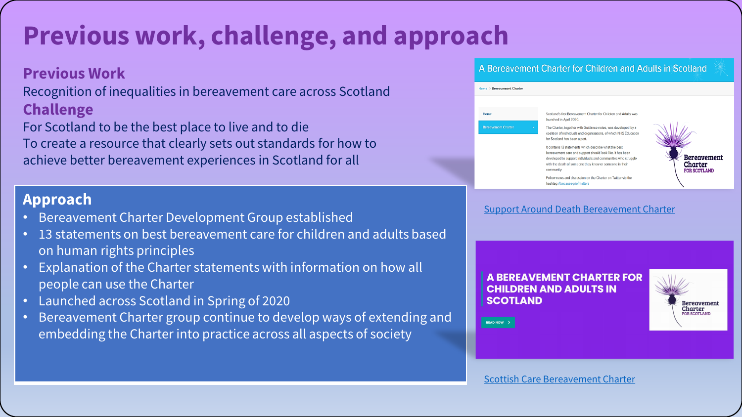## **Previous work, challenge, and approach**

#### **Previous Work**

Recognition of inequalities in bereavement care across Scotland **Challenge**

For Scotland to be the best place to live and to die To create a resource that clearly sets out standards for how to achieve better bereavement experiences in Scotland for all

### **Approach**

- Bereavement Charter Development Group established
- 13 statements on best bereavement care for children and adults based on human rights principles
- Explanation of the Charter statements with information on how all people can use the Charter
- Launched across Scotland in Spring of 2020
- Bereavement Charter group continue to develop ways of extending and embedding the Charter into practice across all aspects of society

#### A Bereavement Charter for Children and Adults in Scotland



[Support Around Death Bereavement Charter](https://www.sad.scot.nhs.uk/bereavement-charter/)

**A BEREAVEMENT CHARTER FOR CHILDREN AND ADULTS IN SCOTLAND** 



READ NOW >

[Scottish Care Bereavement Charter](https://scottishcare.org/bereavement/)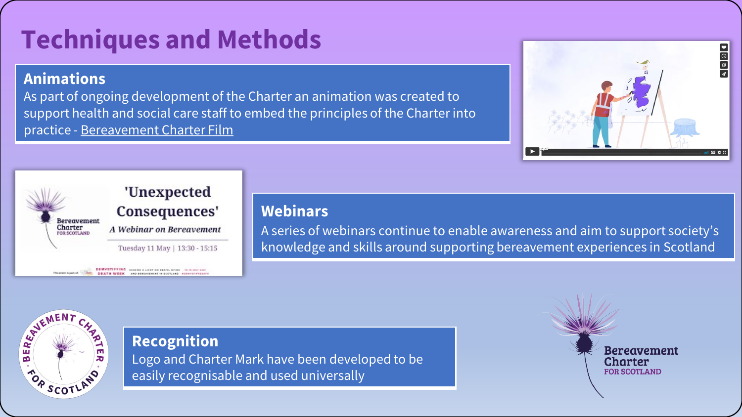# **Techniques and Methods**

## **Animations**

As part of ongoing development of the Charter an animation was created to support health and social care staff to embed the principles of the Charter into practice - [Bereavement Charter Film](https://vimeo.com/592277288)





#### **Webinars**

A series of webinars continue to enable awareness and aim to support society's knowledge and skills around supporting bereavement experiences in Scotland

BERE WENENT SCOT

**Recognition** 

Logo and Charter Mark have been developed to be easily recognisable and used universally